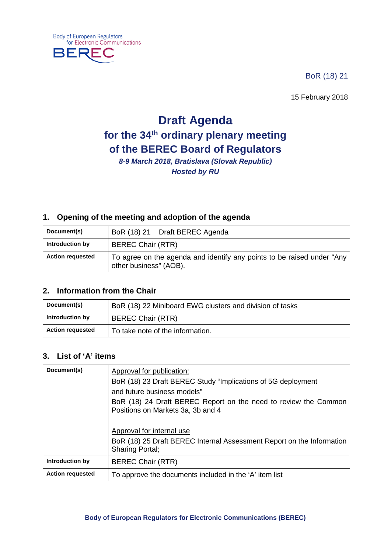

₹F

BoR (18) 21

15 February 2018

# **Draft Agenda for the 34th ordinary plenary meeting of the BEREC Board of Regulators**

*8-9 March 2018, Bratislava (Slovak Republic) Hosted by RU*

#### **1. Opening of the meeting and adoption of the agenda**

| Document(s)             | BoR (18) 21 Draft BEREC Agenda                                                                   |
|-------------------------|--------------------------------------------------------------------------------------------------|
| Introduction by         | <b>BEREC Chair (RTR)</b>                                                                         |
| <b>Action requested</b> | To agree on the agenda and identify any points to be raised under "Any<br>other business" (AOB). |

#### **2. Information from the Chair**

| Document(s)             | BoR (18) 22 Miniboard EWG clusters and division of tasks |
|-------------------------|----------------------------------------------------------|
| Introduction by         | <b>BEREC Chair (RTR)</b>                                 |
| <b>Action requested</b> | To take note of the information.                         |

#### **3. List of 'A' items**

| Document(s)             | Approval for publication:                                                                            |
|-------------------------|------------------------------------------------------------------------------------------------------|
|                         | BoR (18) 23 Draft BEREC Study "Implications of 5G deployment                                         |
|                         | and future business models"                                                                          |
|                         | BoR (18) 24 Draft BEREC Report on the need to review the Common<br>Positions on Markets 3a, 3b and 4 |
|                         |                                                                                                      |
|                         | Approval for internal use                                                                            |
|                         | BoR (18) 25 Draft BEREC Internal Assessment Report on the Information<br><b>Sharing Portal;</b>      |
| Introduction by         | <b>BEREC Chair (RTR)</b>                                                                             |
| <b>Action requested</b> | To approve the documents included in the 'A' item list                                               |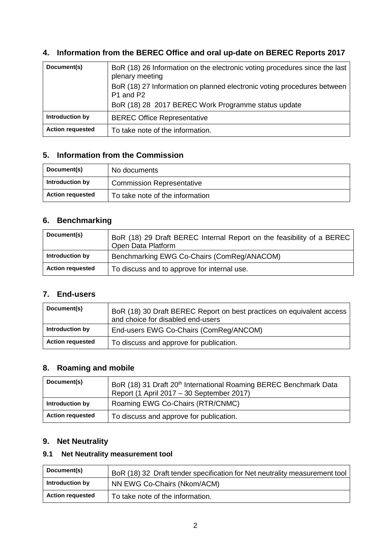## **4. Information from the BEREC Office and oral up-date on BEREC Reports 2017**

| Document(s)             | BoR (18) 26 Information on the electronic voting procedures since the last<br>plenary meeting<br>BoR (18) 27 Information on planned electronic voting procedures between<br>P1 and P2 |
|-------------------------|---------------------------------------------------------------------------------------------------------------------------------------------------------------------------------------|
|                         | BoR (18) 28 2017 BEREC Work Programme status update                                                                                                                                   |
| Introduction by         | <b>BEREC Office Representative</b>                                                                                                                                                    |
| <b>Action requested</b> | To take note of the information.                                                                                                                                                      |

## **5. Information from the Commission**

| Document(s)             | No documents                     |
|-------------------------|----------------------------------|
| Introduction by         | <b>Commission Representative</b> |
| <b>Action requested</b> | To take note of the information  |

## **6. Benchmarking**

| Document(s)             | BoR (18) 29 Draft BEREC Internal Report on the feasibility of a BEREC<br>Open Data Platform |
|-------------------------|---------------------------------------------------------------------------------------------|
| Introduction by         | Benchmarking EWG Co-Chairs (ComReg/ANACOM)                                                  |
| <b>Action requested</b> | To discuss and to approve for internal use.                                                 |

#### **7. End-users**

| Document(s)             | BoR (18) 30 Draft BEREC Report on best practices on equivalent access<br>and choice for disabled end-users |
|-------------------------|------------------------------------------------------------------------------------------------------------|
| Introduction by         | End-users EWG Co-Chairs (ComReg/ANCOM)                                                                     |
| <b>Action requested</b> | To discuss and approve for publication.                                                                    |

#### **8. Roaming and mobile**

| Document(s)             | BoR (18) 31 Draft 20 <sup>th</sup> International Roaming BEREC Benchmark Data<br>Report (1 April 2017 – 30 September 2017) |
|-------------------------|----------------------------------------------------------------------------------------------------------------------------|
| Introduction by         | Roaming EWG Co-Chairs (RTR/CNMC)                                                                                           |
| <b>Action requested</b> | To discuss and approve for publication.                                                                                    |

#### **9. Net Neutrality**

## **9.1 Net Neutrality measurement tool**

| Document(s)             | BoR (18) 32 Draft tender specification for Net neutrality measurement tool |
|-------------------------|----------------------------------------------------------------------------|
| Introduction by         | NN EWG Co-Chairs (Nkom/ACM)                                                |
| <b>Action requested</b> | To take note of the information.                                           |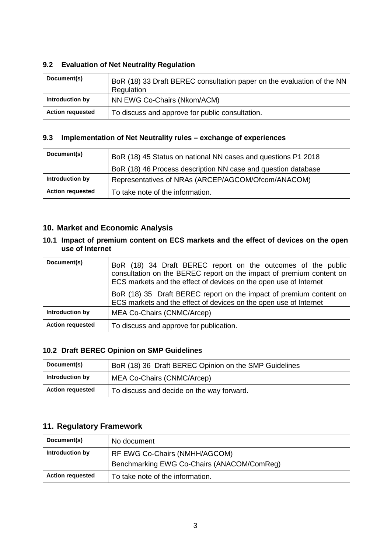#### **9.2 Evaluation of Net Neutrality Regulation**

| Document(s)             | BoR (18) 33 Draft BEREC consultation paper on the evaluation of the NN<br>Regulation |
|-------------------------|--------------------------------------------------------------------------------------|
| Introduction by         | NN EWG Co-Chairs (Nkom/ACM)                                                          |
| <b>Action requested</b> | To discuss and approve for public consultation.                                      |

#### **9.3 Implementation of Net Neutrality rules – exchange of experiences**

| Document(s)             | BoR (18) 45 Status on national NN cases and questions P1 2018 |
|-------------------------|---------------------------------------------------------------|
|                         | BoR (18) 46 Process description NN case and question database |
| Introduction by         | Representatives of NRAs (ARCEP/AGCOM/Ofcom/ANACOM)            |
| <b>Action requested</b> | To take note of the information.                              |

#### **10. Market and Economic Analysis**

#### **10.1 Impact of premium content on ECS markets and the effect of devices on the open use of Internet**

| Document(s)             | BoR (18) 34 Draft BEREC report on the outcomes of the public<br>consultation on the BEREC report on the impact of premium content on<br>ECS markets and the effect of devices on the open use of Internet<br>BoR (18) 35 Draft BEREC report on the impact of premium content on<br>ECS markets and the effect of devices on the open use of Internet |
|-------------------------|------------------------------------------------------------------------------------------------------------------------------------------------------------------------------------------------------------------------------------------------------------------------------------------------------------------------------------------------------|
| Introduction by         | MEA Co-Chairs (CNMC/Arcep)                                                                                                                                                                                                                                                                                                                           |
| <b>Action requested</b> | To discuss and approve for publication.                                                                                                                                                                                                                                                                                                              |

#### **10.2 Draft BEREC Opinion on SMP Guidelines**

| Document(s)             | BoR (18) 36 Draft BEREC Opinion on the SMP Guidelines |
|-------------------------|-------------------------------------------------------|
| Introduction by         | MEA Co-Chairs (CNMC/Arcep)                            |
| <b>Action requested</b> | To discuss and decide on the way forward.             |

## **11. Regulatory Framework**

| Document(s)             | No document                                |
|-------------------------|--------------------------------------------|
| Introduction by         | RF EWG Co-Chairs (NMHH/AGCOM)              |
|                         | Benchmarking EWG Co-Chairs (ANACOM/ComReg) |
| <b>Action requested</b> | To take note of the information.           |